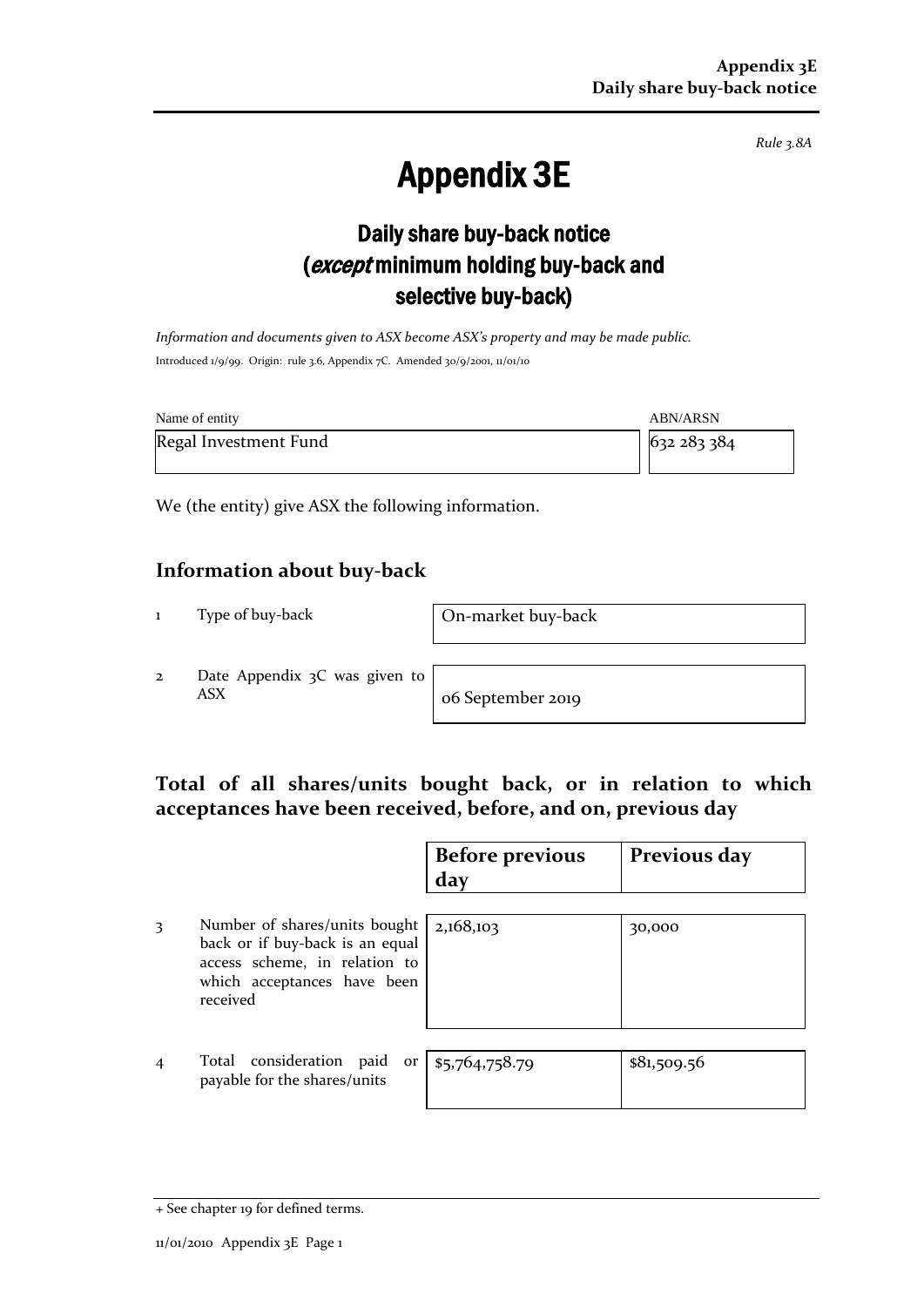*Rule 3.8A*

# Appendix 3E

## Daily share buy-back notice (except minimum holding buy-back and selective buy-back)

*Information and documents given to ASX become ASX's property and may be made public.* Introduced 1/9/99. Origin: rule 3.6, Appendix 7C. Amended 30/9/2001, 11/01/10

| Name of entity        | <b>ABN/ARSN</b> |
|-----------------------|-----------------|
| Regal Investment Fund | 632 283 384     |

We (the entity) give ASX the following information.

#### **Information about buy-back**

1 Type of buy-back On-market buy-back

2 Date Appendix 3C was given to ASX o6 September 2019

#### **Total of all shares/units bought back, or in relation to which acceptances have been received, before, and on, previous day**

|                |                                                                                                                                              | <b>Before previous</b><br>day | Previous day |
|----------------|----------------------------------------------------------------------------------------------------------------------------------------------|-------------------------------|--------------|
| 3              | Number of shares/units bought<br>back or if buy-back is an equal<br>access scheme, in relation to<br>which acceptances have been<br>received | 2,168,103                     | 30,000       |
| $\overline{4}$ | Total consideration paid<br>payable for the shares/units                                                                                     | or $ $ \$5,764,758.79         | \$81,509.56  |

<sup>+</sup> See chapter 19 for defined terms.